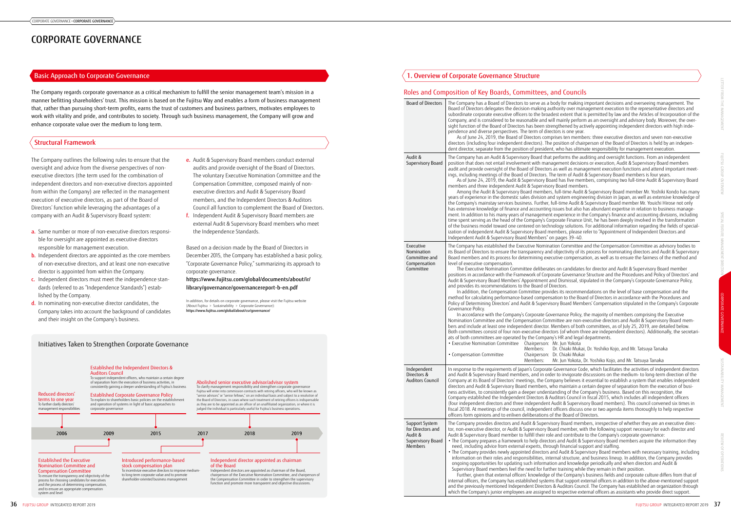The Company regards corporate governance as a critical mechanism to fulfill the senior management team's mission in a manner befitting shareholders' trust. This mission is based on the Fujitsu Way and enables a form of business management that, rather than pursuing short-term profits, earns the trust of customers and business partners, motivates employees to work with vitality and pride, and contributes to society. Through such business management, the Company will grow and enhance corporate value over the medium to long term.

- e. Audit & Supervisory Board members conduct external audits and provide oversight of the Board of Directors. The voluntary Executive Nomination Committee and the Compensation Committee, composed mainly of nonexecutive directors and Audit & Supervisory Board members, and the Independent Directors & Auditors Council all function to complement the Board of Directors.
- f. Independent Audit & Supervisory Board members are external Audit & Supervisory Board members who meet the Independence Standards.

Based on a decision made by the Board of Directors in December 2015, the Company has established a basic policy, "Corporate Governance Policy," summarizing its approach to corporate governance.

[https://www.fujitsu.com/global/documents/about/ir/](https://www.fujitsu.com/global/documents/about/ir/library/governance/governancereport-b-en.pdf) [library/governance/governancereport-b-en.pdf](https://www.fujitsu.com/global/documents/about/ir/library/governance/governancereport-b-en.pdf)

In addition, for details on corporate governance, please visit the Fujitsu website (About Fujitsu > Sustainability > Corporate Governance): https://www.fujitsu.com/global/about/csr/governance/

- The Company outlines the following rules to ensure that the oversight and advice from the diverse perspectives of nonexecutive directors (the term used for the combination of independent directors and non-executive directors appointed from within the Company) are reflected in the management execution of executive directors, as part of the Board of Directors' function while leveraging the advantages of a company with an Audit & Supervisory Board system:
- a. Same number or more of non-executive directors responsible for oversight are appointed as executive directors responsible for management execution.
- **b.** Independent directors are appointed as the core members of non-executive directors, and at least one non-executive director is appointed from within the Company.
- c. Independent directors must meet the independence standards (referred to as "Independence Standards") established by the Company.
- d. In nominating non-executive director candidates, the Company takes into account the background of candidates and their insight on the Company's business.

# Roles and Composition of Key Boards, Committees, and Councils

ody for making important decisions and overseeing management. The  $\tilde{\text{B}}$  directors making definition-making the depresentative directors and lest extent that is permitted by law and the Articles of Incorporation of the Il mainly perform as an oversight and advisory body. Moreover, the overngthened by actively appointing independent directors with high indectors is one year.

rises ten members: three executive directors and seven non-executive position of chairperson of the Board of Directors is held by an indepenwho has ultimate responsibility for management execution.

performs the auditing and oversight functions. From an independent igement decisions or execution, Audit & Supervisory Board members as well as management execution functions and attend important meetie term of Audit  $\tilde{\textbf{g}}$  Supervisory Board members is four years.  $\tilde{\textbf{s}}$ 

ard has five members, comprising two full-time Audit & Supervisory Board v Board members.

, full-time Audit & Supervisory Board member Mr. Yoshiki Kondo has many d system engineering division in Japan, as well as extensive knowledge of ull-time Audit & Supervisory Board member Mr. Youichi Hirose not only issues but also has abundant expertise in relation to business manageexperience in the Company's finance and accounting divisions, including porate Finance Unit, he has been deeply involved in the transformation  $\overline{\rm d}$ ology solutions. For additional information regarding the fields of specialization of independent Audit & Supervisory Board members, please refer to "Appointment of Independent Directors and n pages 39–40.

tion Committee and the Compensation Committee as advisory bodies to obiectivity of its process for nominating directors and Audit & Supervisory utive compensation, as well as to ensure the fairness of the method and

the Supersion Candidates for director and Audit & Supervisory Board member rate Governance Structure and the Procedures and Policy of Directors' and nd Dismissal, stipulated in the Company's Corporate Governance Policy,

des its recommendations on the level of base compensation and the ation to the Board of Directors in accordance with the Procedures and ory Board Members' Compensation stipulated in the Company's Corporate

rernance Policy, the majority of members comprising the Executive  $n$ ittee are non-executive directors and Audit  $\alpha$  Supervisory Board mem-Members of both committees, as of July 25, 2019, are detailed below. ors (of whom three are independent directors). Additionally, the secretari-,<br>y's HR and legal departments.

,<br>Mr. Iun Yokota

Dr. Chiaki Mukai, Dr. Yoshiko Kojo, and Mr. Tatsuya Tanaka Dr. Chiaki Mukai

Mr. Jun Yokota, Dr. Yoshiko Kojo, and Mr. Tatsuya Tanaka

Governance Code, which facilitates the activities of independent directors er to invigorate discussions on the medium- to long-term direction of the pany believes it essential to establish a system that enables independent  $\dot$  ho maintain a certain degree of separation from the execution of busianding of the Company's business. Based on this recognition, the uditors Council in fiscal 2015, which includes all independent officers Audit & Supervisory Board members). This council convened six times in officers discuss one or two agenda items thoroughly to help respective f the Board of Directors.

sory Board members, irrespective of whether they are an executive direcard member, with the following support necessary for each director and and contribute to the Company's corporate governance:

rs and Audit & Supervisory Board members acquire the information they igh financial support and staffing.

nd Audit & Supervisory Board members with necessary training, including ernal structure, and business lineup. In addition, the Company provides on and knowledge periodically and when directors and Audit & er training while they remain in their position.

of the Company's business fields and corporate culture differs from that of s that support external officers in addition to the above-mentioned support & Auditors Council. The Company has established an organization through to respective external officers as assistants who provide direct support.



| <b>Board of Directors</b>                                                             | The Company has a Board of Directors to serve as a body for<br>Board of Directors delegates the decision-making authority<br>subordinate corporate executive officers to the broadest exte<br>Company, and is considered to be reasonable and will mainl<br>sight function of the Board of Directors has been strengthen<br>pendence and diverse perspectives. The term of directors is o<br>As of June 24, 2019, the Board of Directors comprises te<br>directors (including four independent directors). The positior<br>dent director, separate from the position of president, who h                                                                                                                                                                                                                                                                                                                                                                                                                                                                                                                                                                               |
|---------------------------------------------------------------------------------------|------------------------------------------------------------------------------------------------------------------------------------------------------------------------------------------------------------------------------------------------------------------------------------------------------------------------------------------------------------------------------------------------------------------------------------------------------------------------------------------------------------------------------------------------------------------------------------------------------------------------------------------------------------------------------------------------------------------------------------------------------------------------------------------------------------------------------------------------------------------------------------------------------------------------------------------------------------------------------------------------------------------------------------------------------------------------------------------------------------------------------------------------------------------------|
| Audit &<br>Supervisory Board                                                          | The Company has an Audit & Supervisory Board that perform<br>position that does not entail involvement with managemen<br>audit and provide oversight of the Board of Directors as well<br>ings, including meetings of the Board of Directors. The term<br>As of June 24, 2019, the Audit & Supervisory Board has<br>members and three independent Audit & Supervisory Board<br>Among the Audit & Supervisory Board members, full-tin<br>years of experience in the domestic sales division and syster<br>the Company's mainstay services business. Further, full-time<br>has extensive knowledge of finance and accounting issues b<br>ment. In addition to his many years of management experie<br>time spent serving as the head of the Company's Corporate I<br>of the business model toward one centered on technology se<br>ization of independent Audit & Supervisory Board members,<br>Independent Audit & Supervisory Board Members" on pages                                                                                                                                                                                                                  |
| Executive<br>Nomination<br>Committee and<br>Compensation<br>Committee                 | The Company has established the Executive Nomination Cor<br>its Board of Directors to ensure the transparency and objecti<br>Board members and its process for determining executive co<br>level of executive compensation.<br>The Executive Nomination Committee deliberates on ca<br>positions in accordance with the Framework of Corporate Go<br>Audit & Supervisory Board Members' Appointment and Dism<br>and provides its recommendations to the Board of Directors.<br>In addition, the Compensation Committee provides its re<br>method for calculating performance-based compensation to<br>Policy of Determining Directors' and Audit & Supervisory Boa<br>Governance Policy.<br>In accordance with the Company's Corporate Governance<br>Nomination Committee and the Compensation Committee a<br>bers and include at least one independent director. Member<br>Both committees consist of four non-executive directors (of y<br>ats of both committees are operated by the Company's HR a<br>• Executive Nomination Committee<br>Chairperson: Mr. Jun<br>Members:<br>Dr. Chia<br>Chairperson: Dr. Chia<br>• Compensation Committee<br>Members:<br>Mr. Jun |
| Independent<br>Directors &<br>Auditors Council                                        | In response to the requirements of Japan's Corporate Govern<br>and Audit & Supervisory Board members, and in order to inv<br>Company at its Board of Directors' meetings, the Company b<br>directors and Audit & Supervisory Board members, who mair<br>ness activities, to consistently gain a deeper understanding<br>Company established the Independent Directors & Auditors<br>(four independent directors and three independent Audit &<br>fiscal 2018. At meetings of the council, independent officers<br>officers form opinions and to enliven deliberations of the Bo                                                                                                                                                                                                                                                                                                                                                                                                                                                                                                                                                                                        |
| Support System<br>for Directors and<br>Audit &<br>Supervisory Board<br><b>Members</b> | The Company provides directors and Audit & Supervisory Boa<br>tor, non-executive director, or Audit & Supervisory Board mer<br>Audit & Supervisory Board member to fulfill their role and co<br>• The Company prepares a framework to help directors and /<br>need, including advice from external experts, through fina<br>• The Company provides newly appointed directors and Audi<br>information on their roles and responsibilities, internal str<br>ongoing opportunities for updating such information and<br>Supervisory Board members feel the need for further train<br>Further, given that external officers' knowledge of the Co<br>internal officers, the Company has established systems that si<br>and the previously mentioned Independent Directors & Audit<br>which the Company's junior employees are assigned to respe                                                                                                                                                                                                                                                                                                                             |

# Initiatives Taken to Strengthen Corporate Governance

# Basic Approach to Corporate Governance

# Structural Framework

# 1. Overview of Corporate Governance Structure

# CORPORATE GOVERNANCE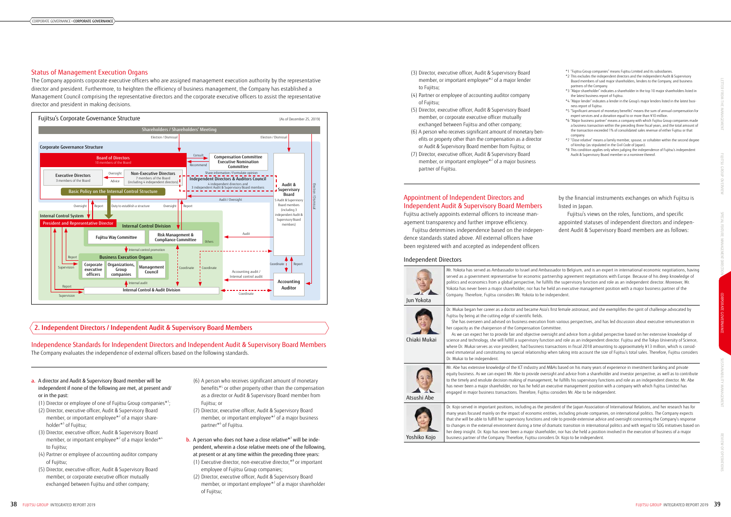- \*1 "Fujitsu Group companies" means Fujitsu Limited and its subsidiaries.
- \*2 This excludes the independent directors and the independent Audit & Supervisory Board members of said major shareholders, lenders to the Company, and business partners of the Company.
- \*3 "Major shareholder" indicates a shareholder in the top 10 major shareholders listed in the latest business report of Fujitsu.
- \*4 "Major lender" indicates a lender in the Group's major lenders listed in the latest business report of Fujitsu.
- \*5 "Significant amount of monetary benefits" means the sum of annual compensation for expert services and a donation equal to or more than ¥10 million.
- \*6 "Major business partner" means a company with which Fujitsu Group companies made a business transaction within the preceding three fiscal years, and the total amount of the transaction exceeded 1% of consolidated sales revenue of either Fujitsu or that company.
- \*7 "Close relative" means a family member, spouse, or cohabiter within the second degree of kinship (as stipulated in the Civil Code of Japan).
- \*8 This condition applies only when judging the independence of Fujitsu's independent Audit & Supervisory Board member or a nominee thereof.

# Appointment of Independent Directors and Independent Audit & Supervisory Board Members

Fujitsu actively appoints external officers to increase management transparency and further improve efficiency.

Fujitsu determines independence based on the independence standards stated above. All external officers have been registered with and accepted as independent officers

**b.** A person who does not have a close relative<sup>\*7</sup> will be independent, wherein a close relative meets one of the following, at present or at any time within the preceding three years:

by the financial instruments exchanges on which Fujitsu is listed in Japan.

Fujitsu's views on the roles, functions, and specific appointed statuses of independent directors and independent Audit & Supervisory Board members are as follows:

Independence Standards for Independent Directors and Independent Audit & Supervisory Board Members The Company evaluates the independence of external officers based on the following standards.

- a. A director and Audit & Supervisory Board member will be independent if none of the following are met, at present and/ or in the past:
- (1) Director or employee of one of Fujitsu Group companies\*1;
- (2) Director, executive officer, Audit & Supervisory Board member, or important employee<sup>\*2</sup> of a major shareholder\*3 of Fujitsu;
- (3) Director, executive officer, Audit & Supervisory Board member, or important employee $*$ <sup>2</sup> of a major lender $*$ <sup>4</sup> to Fujitsu;
- (4) Partner or employee of accounting auditor company of Fujitsu;
- (5) Director, executive officer, Audit & Supervisory Board member, or corporate executive officer mutually exchanged between Fujitsu and other company;

ssador to Belgium, and is an expert in international economic negotiations, having nership agreement negotiations with Europe. Because of his deep knowledge of lls the supervisory function and role as an independent director. Moreover, Mr. eld an executive management position with a major business partner of the Company. Therefore, Fujitsu considers Mr. Yokota to be independent.

first female astronaut, and she exemplifies the spirit of challenge advocated by

- om various perspectives, and has led discussion about executive remuneration in
- sight and advice from a global perspective based on her extensive knowledge of on and role as an independent director. Fujitsu and the Tokyo University of Science. nsactions in fiscal 2018 amounting to approximately ¥13 million, which is considhen taking into account the size of Fujitsu's total sales. Therefore, Fujitsu considers

 $RAS$  based on his many vears of experience in investment banking and private ight and advice from a shareholder and investor perspective, as well as to contribute t, he fulfills his supervisory functions and role as an independent director. Mr. Abe kecutive management position with a company with which Fujitsu Limited has considers Mr. Abe to be independent.

sident of the Japan Association of International Relations, and her research has for ities, including private companies, on international politics. The Company expects role to provide extensive advice and oversight concerning the Company's response ramatic transition in international politics and with regard to SDG initiatives based on her nor has she held a position involved in the execution of business of a major busings partner of the Company of the Company. Therefore,  $D$ r. Kojo to be independent.

- (6) A person who receives significant amount of monetary benefits\*<sup>5</sup> or other property other than the compensation as a director or Audit & Supervisory Board member from Fujitsu; or
- (7) Director, executive officer, Audit & Supervisory Board member, or important employee $*$ <sup>2</sup> of a major business partner\*6 of Fujitsu.

- (1) Executive director, non-executive director,\*8 or important employee of Fujitsu Group companies;
- (2) Director, executive officer, Audit & Supervisory Board member, or important employee<sup>\*2</sup> of a major shareholder of Fujitsu;
- (3) Director, executive officer, Audit & Supervisory Board member, or important employee $*$ <sup>2</sup> of a major lender to Fujitsu;
- (4) Partner or employee of accounting auditor company of Fujitsu;
- (5) Director, executive officer, Audit & Supervisory Board member, or corporate executive officer mutually exchanged between Fujitsu and other company;
- (6) A person who receives significant amount of monetary benefits or property other than the compensation as a director or Audit & Supervisory Board member from Fujitsu; or
- (7) Director, executive officer, Audit & Supervisory Board member, or important employee $*$ <sup>2</sup> of a major business partner of Fujitsu.

# Status of Management Execution Organs

The Company appoints corporate executive officers who are assigned management execution authority by the representative director and president. Furthermore, to heighten the efficiency of business management, the Company has established a Management Council comprising the representative directors and the corporate executive officers to assist the representative director and president in making decisions.

### Independent Directors

| Jun Yokota   | Mr. Yokota has served as Ambassador to Israel and Ambassador<br>served as a government representative for economic partnershij<br>politics and economics from a global perspective, he fulfills the<br>Yokota has never been a major shareholder, nor has he held an<br>Company. Therefore, Fujitsu considers Mr. Yokota to be independ                                                                                                                                                                                                                                            |
|--------------|------------------------------------------------------------------------------------------------------------------------------------------------------------------------------------------------------------------------------------------------------------------------------------------------------------------------------------------------------------------------------------------------------------------------------------------------------------------------------------------------------------------------------------------------------------------------------------|
| Chiaki Mukai | Dr. Mukai began her career as a doctor and became Asia's first fe<br>Fujitsu by being at the cutting edge of scientific fields.<br>She has overseen and advised on business execution from var<br>her capacity as the chairperson of the Compensation Committee.<br>As we can expect her to provide fair and objective oversight a<br>science and technology, she will fulfill a supervisory function and<br>where Dr. Mukai serves as vice president, had business transactio<br>ered immaterial and constituting no special relationship when ta<br>Dr. Mukai to be independent. |
| Atsushi Abe  | Mr. Abe has extensive knowledge of the ICT industry and M&As ba<br>equity business. As we can expect Mr. Abe to provide oversight ar<br>to the timely and resolute decision making of management, he fu<br>has never been a major shareholder, nor has he held an executive<br>engaged in major business transactions. Therefore, Fujitsu consid                                                                                                                                                                                                                                   |
| Yoshiko Kojo | Dr. Kojo served in important positions, including as the president<br>many years focused mainly on the impact of economic entities, in<br>that she will be able to fulfill her supervisory functions and role to<br>to changes in the external environment during a time of dramatio<br>her deep insight. Dr. Kojo has never been a major shareholder, no<br>business partner of the Company. Therefore, Fujitsu considers Dr.                                                                                                                                                     |

# 2. Independent Directors / Independent Audit & Supervisory Board Members

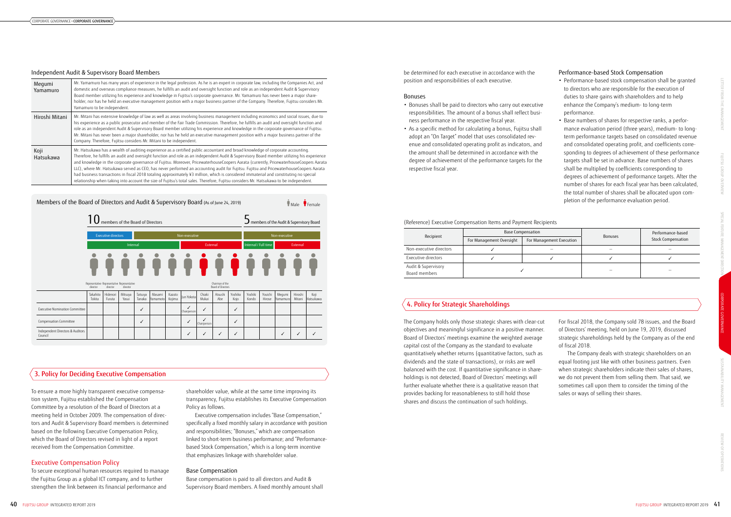#### (Reference) Executive Compensation Items and Payment Recipients

| Recipient                            | <b>Base Compensation</b> |                          | <b>Bonuses</b>           | Performance-based<br>Stock Compensation |  |
|--------------------------------------|--------------------------|--------------------------|--------------------------|-----------------------------------------|--|
|                                      | For Management Oversight | For Management Execution |                          |                                         |  |
| Non-executive directors              |                          |                          |                          |                                         |  |
| Executive directors                  |                          |                          |                          |                                         |  |
| Audit & Supervisory<br>Board members |                          |                          | $\overline{\phantom{0}}$ |                                         |  |

shareholder value, while at the same time improving its transparency, Fujitsu establishes its Executive Compensation Policy as follows.

Executive compensation includes "Base Compensation," specifically a fixed monthly salary in accordance with position and responsibilities; "Bonuses," which are compensation linked to short-term business performance; and "Performancebased Stock Compensation," which is a long-term incentive that emphasizes linkage with shareholder value.

### Base Compensation

Base compensation is paid to all directors and Audit & Supervisory Board members. A fixed monthly amount shall

# Performance-based Stock Compensation

- Performance-based stock compensation shall be granted to directors who are responsible for the execution of duties to share gains with shareholders and to help enhance the Company's medium- to long-term performance.
- Base numbers of shares for respective ranks, a performance evaluation period (three years), medium- to longterm performance targets based on consolidated revenue and consolidated operating profit, and coefficients corresponding to degrees of achievement of these performance targets shall be set in advance. Base numbers of shares shall be multiplied by coefficients corresponding to degrees of achievement of performance targets. After the number of shares for each fiscal year has been calculated, the total number of shares shall be allocated upon completion of the performance evaluation period.

To ensure a more highly transparent executive compensation system, Fujitsu established the Compensation Committee by a resolution of the Board of Directors at a meeting held in October 2009. The compensation of directors and Audit & Supervisory Board members is determined based on the following Executive Compensation Policy, which the Board of Directors revised in light of a report received from the Compensation Committee.

# Executive Compensation Policy

To secure exceptional human resources required to manage the Fujitsu Group as a global ICT company, and to further strengthen the link between its financial performance and

be determined for each executive in accordance with the position and responsibilities of each executive.

#### Bonuses

- Bonuses shall be paid to directors who carry out executive responsibilities. The amount of a bonus shall reflect business performance in the respective fiscal year.
- As a specific method for calculating a bonus, Fujitsu shall adopt an "On Target" model that uses consolidated revenue and consolidated operating profit as indicators, and the amount shall be determined in accordance with the degree of achievement of the performance targets for the respective fiscal year.

The Company holds only those strategic shares with clear-cut objectives and meaningful significance in a positive manner. Board of Directors' meetings examine the weighted average capital cost of the Company as the standard to evaluate quantitatively whether returns (quantitative factors, such as dividends and the state of transactions), or risks are well balanced with the cost. If quantitative significance in shareholdings is not detected, Board of Directors' meetings will further evaluate whether there is a qualitative reason that provides backing for reasonableness to still hold those shares and discuss the continuation of such holdings.

For fiscal 2018, the Company sold 78 issues, and the Board of Directors' meeting, held on June 19, 2019, discussed strategic shareholdings held by the Company as of the end of fiscal 2018.

The Company deals with strategic shareholders on an equal footing just like with other business partners. Even when strategic shareholders indicate their sales of shares, we do not prevent them from selling them. That said, we sometimes call upon them to consider the timing of the sales or ways of selling their shares.

#### Independent Audit & Supervisory Board Members

| Megumi<br>Yamamuro | Mr. Yamamuro has many years of experience in the legal profession. As he is an expert in corporate law, including the Companies Act, and<br>domestic and overseas compliance measures, he fulfills an audit and oversight function and role as an independent Audit & Supervisory<br>Board member utilizing his experience and knowledge in Fujitsu's corporate governance. Mr. Yamamuro has never been a major share-<br>holder, nor has he held an executive management position with a major business partner of the Company. Therefore, Fujitsu considers Mr.<br>Yamamuro to be independent.                                                                                                                                                                                                                                                         |
|--------------------|----------------------------------------------------------------------------------------------------------------------------------------------------------------------------------------------------------------------------------------------------------------------------------------------------------------------------------------------------------------------------------------------------------------------------------------------------------------------------------------------------------------------------------------------------------------------------------------------------------------------------------------------------------------------------------------------------------------------------------------------------------------------------------------------------------------------------------------------------------|
| Hiroshi Mitani     | Mr. Mitani has extensive knowledge of law as well as areas involving business management including economics and social issues, due to<br>his experience as a public prosecutor and member of the Fair Trade Commission. Therefore, he fulfills an audit and oversight function and<br>role as an independent Audit & Supervisory Board member utilizing his experience and knowledge in the corporate governance of Fujitsu.<br>Mr. Mitani has never been a major shareholder, nor has he held an executive management position with a major business partner of the<br>Company. Therefore, Fujitsu considers Mr. Mitani to be independent.                                                                                                                                                                                                             |
| Koji<br>Hatsukawa  | Mr. Hatsukawa has a wealth of auditing experience as a certified public accountant and broad knowledge of corporate accounting.<br>Therefore, he fulfills an audit and oversight function and role as an independent Audit & Supervisory Board member utilizing his experience<br>and knowledge in the corporate governance of Fujitsu. Moreover, PricewaterhouseCoopers Aarata (currently, PricewaterhouseCoopers Aarata<br>LLC), where Mr. Hatsukawa served as CEO, has never performed an accounting audit for Fujitsu. Fujitsu and PricewaterhouseCoopers Aarata<br>had business transactions in fiscal 2018 totaling approximately ¥3 million, which is considered immaterial and constituting no special<br>relationship when taking into account the size of Fujitsu's total sales. Therefore, Fujitsu considers Mr. Hatsukawa to be independent. |



# 3. Policy for Deciding Executive Compensation

# 4. Policy for Strategic Shareholdings

SUSTAINABILITY MANAGEMENT